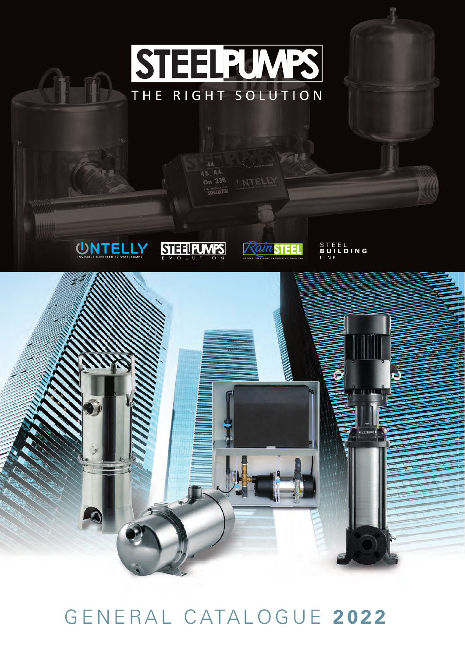

## GENERAL CATALOGUE **2022**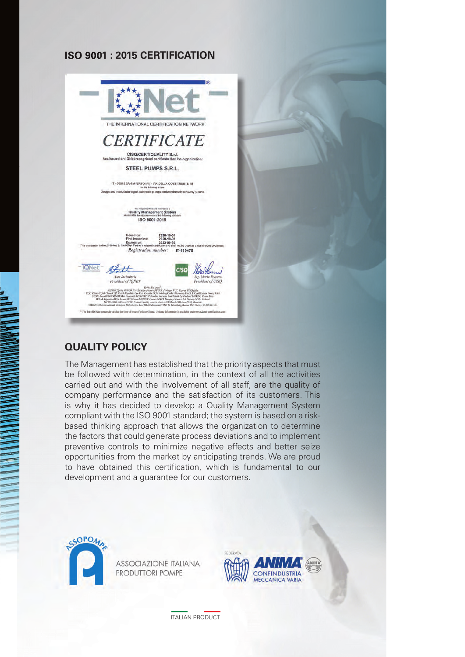## **ISO 9001 : 2015 CERTIFICATION**



## **QUALITY POLICY**

The Management has established that the priority aspects that must be followed with determination, in the context of all the activities carried out and with the involvement of all staff, are the quality of company performance and the satisfaction of its customers. This is why it has decided to develop a Quality Management System compliant with the ISO 9001 standard; the system is based on a riskbased thinking approach that allows the organization to determine the factors that could generate process deviations and to implement preventive controls to minimize negative effects and better seize opportunities from the market by anticipating trends. We are proud to have obtained this certification, which is fundamental to our development and a guarantee for our customers.



**ASSOCIAZIONE ITALIANA** PRODUTTORI POMPE



ITALIAN PRODUCT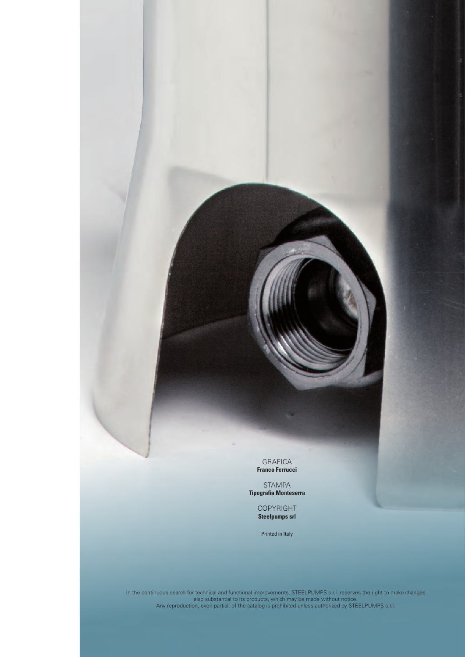GRAFICA **Franco Ferrucci**

STAMPA **Tipografia Monteserra** 

> COPYRIGHT **Steelpumps srl**

Printed in Italy

In the continuous search for technical and functional improvements, STEELPUMPS s.r.l. reserves the right to make changes also substantial to its products, which may be made without notice. Any reproduction, even partial, of the catalog is prohibited unless authorized by STEELPUMPS s.r.l.